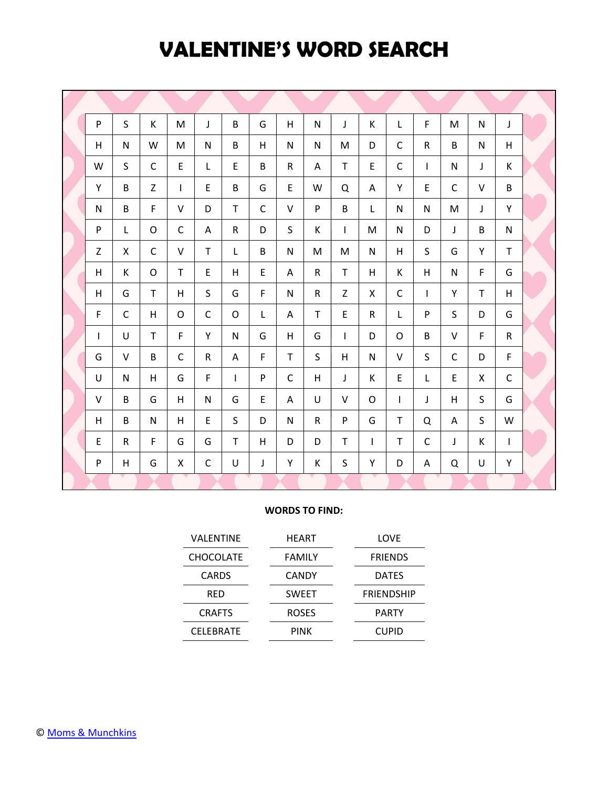### **VALENTINE'S WORD SEARCH**

| P            | $\mathsf{S}$ | K            | M            | J            | B            | G           | H            | N            | J            | K            | L            | F            | M            | $\mathsf{N}$ | J            |  |
|--------------|--------------|--------------|--------------|--------------|--------------|-------------|--------------|--------------|--------------|--------------|--------------|--------------|--------------|--------------|--------------|--|
| H            | N            | W            | M            | N            | B            | н           | N            | N            | M            | D            | C            | R            | B            | N            | H            |  |
| W            | S            | C            | E            | L            | E            | B           | R            | A            | $\mathsf{T}$ | E            | $\mathsf{C}$ | $\mathbf{I}$ | N            | J            | K            |  |
| Υ            | B            | Z            | $\mathbf{I}$ | E            | B            | G           | E            | W            | Q            | A            | Y            | E            | $\mathsf{C}$ | $\vee$       | B            |  |
| ${\sf N}$    | B            | F            | V            | D            | T            | C           | $\vee$       | P            | B            | $\mathsf{L}$ | $\mathsf{N}$ | N            | M            | J            | Υ            |  |
| P            | L            | O            | C            | Α            | $\mathsf{R}$ | D           | S            | К            | L            | M            | N            | D            | J            | B            | N            |  |
| $\mathsf{Z}$ | X            | $\mathsf{C}$ | V            | $\mathsf T$  | L            | B           | N            | M            | M            | N            | H.           | S            | G            | Y            | $\mathsf T$  |  |
| H            | K            | O            | T            | E            | H            | $\mathsf E$ | Α            | $\mathsf{R}$ | $\mathsf T$  | H            | К            | H            | $\mathsf{N}$ | F            | G            |  |
| H            | G            | T            | H            | S            | G            | F           | $\mathsf{N}$ | $\mathsf R$  | Z            | X            | $\mathsf{C}$ | $\mathbf{I}$ | Y            | T            | H            |  |
| $\mathsf{F}$ | $\mathsf{C}$ | H            | O            | $\mathsf C$  | O            | L           | A            | T            | E            | $\mathsf{R}$ | L            | P            | S            | D            | G            |  |
| $\mathsf{I}$ | U            | T.           | F            | Y            | N            | G           | H            | G            | L            | D            | O            | B            | $\vee$       | F            | $\mathsf{R}$ |  |
| G            | $\vee$       | B            | $\mathsf{C}$ | $\mathsf{R}$ | A            | F           | $\mathsf{T}$ | $\mathsf{S}$ | H            | $\mathsf{N}$ | $\vee$       | S            | $\mathsf{C}$ | D            | F            |  |
| U            | N            | H            | G            | $\mathsf F$  | $\mathsf{I}$ | ${\sf P}$   | $\mathsf C$  | H            | J            | K            | E            | L            | E            | $\mathsf{x}$ | $\mathsf C$  |  |
| $\vee$       | B            | G            | H            | N            | G            | $\mathsf E$ | $\mathsf{A}$ | U            | $\vee$       | $\circ$      | T            | J            | H            | S            | G            |  |
| H            | B            | N            | H            | E            | S            | D           | $\mathsf{N}$ | ${\sf R}$    | P            | G            | T            | $\Omega$     | A            | S            | W            |  |
| E            | $\mathsf{R}$ | F            | G            | G            | T            | H           | D            | D            | $\mathsf{T}$ | $\mathsf{I}$ | T            | $\mathsf{C}$ | J            | К            | $\mathbf{I}$ |  |
| ${\sf P}$    | H            | G            | X            | $\mathsf C$  | U            | J           | Y            | K            | S            | Υ            | D            | A            | Q            | U            | Υ            |  |
|              |              |              |              |              |              |             |              |              |              |              |              |              |              |              |              |  |

#### **WORDS TO FIND:**

| <b>VALENTINE</b> | HEART         | LOVE              |
|------------------|---------------|-------------------|
| <b>CHOCOLATE</b> | <b>FAMILY</b> | <b>FRIENDS</b>    |
| <b>CARDS</b>     | <b>CANDY</b>  | <b>DATES</b>      |
| <b>RED</b>       | <b>SWEET</b>  | <b>FRIENDSHIP</b> |
| <b>CRAFTS</b>    | <b>ROSES</b>  | <b>PARTY</b>      |
| <b>CELEBRATE</b> | <b>PINK</b>   | <b>CUPID</b>      |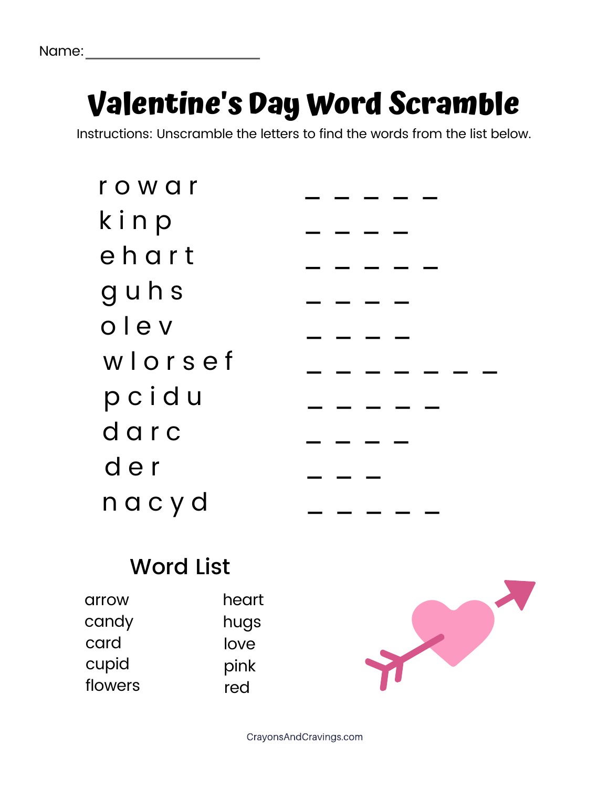## **Valentine's Day Word Scramble**

Instructions: Unscramble the letters to find the words from the list below.

| rowar   |  |  |  |  |
|---------|--|--|--|--|
| kinp    |  |  |  |  |
| ehart   |  |  |  |  |
| guhs    |  |  |  |  |
| olev    |  |  |  |  |
| wlorsef |  |  |  |  |
| pcidu   |  |  |  |  |
| darc    |  |  |  |  |
| der     |  |  |  |  |
| nacyd   |  |  |  |  |
|         |  |  |  |  |

#### **Word List**

| arrow   | heart |
|---------|-------|
| candy   | hugs  |
| card    | love  |
| cupid   | pink  |
| flowers | red   |



CrayonsAndCravings.com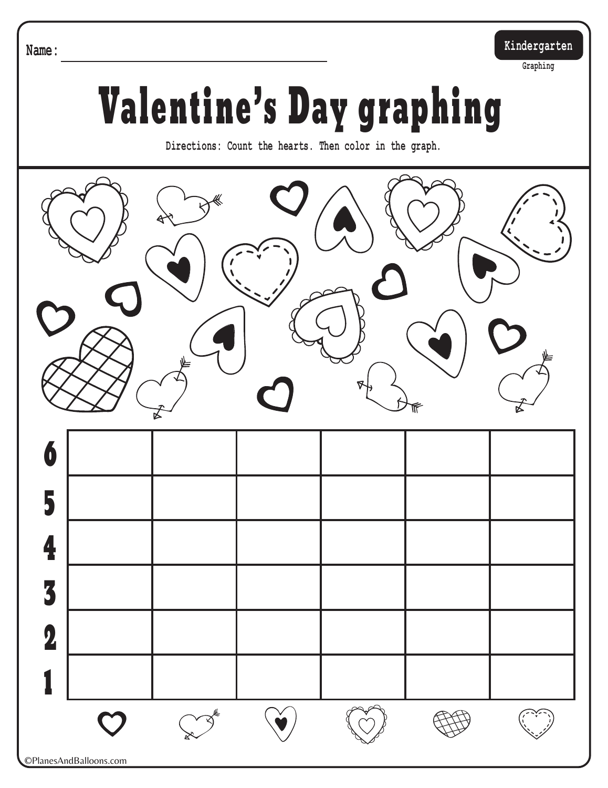**Name: Kindergarten**

**Graphing**

# Valentine's Day graphing

**Directions: Count the hearts. Then color in the graph.**



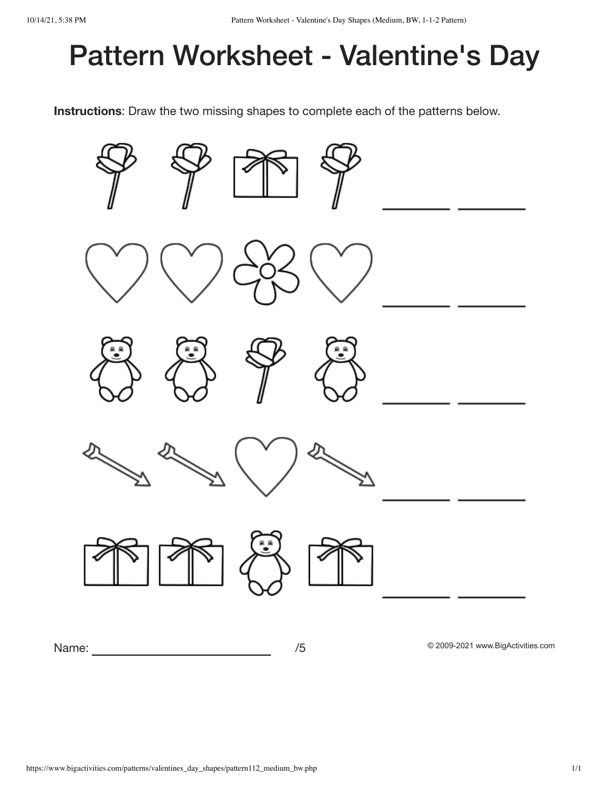## Pattern Worksheet - Valentine's Day

Instructions: Draw the two missing shapes to complete each of the patterns below.

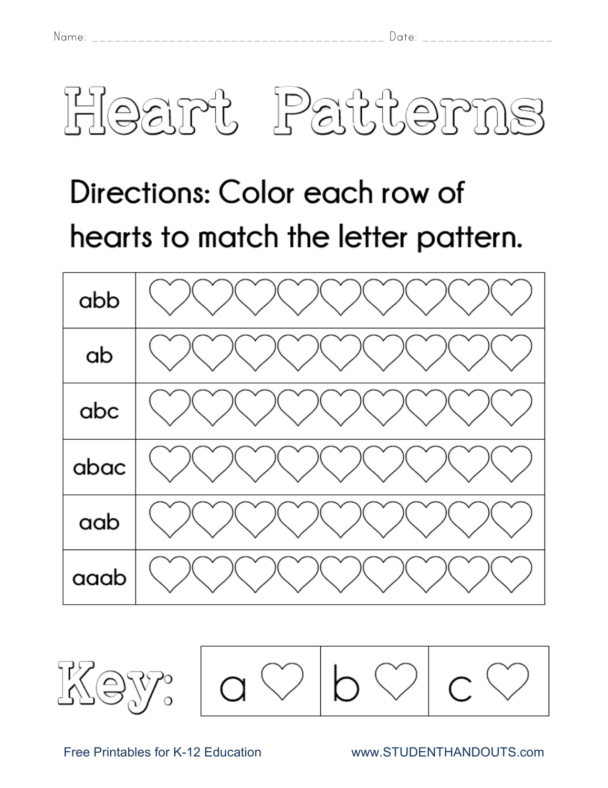

## Directions: Color each row of hearts to match the letter pattern.

| abb  |  |
|------|--|
| ab   |  |
| abc  |  |
| abac |  |
| aab  |  |
| aaab |  |